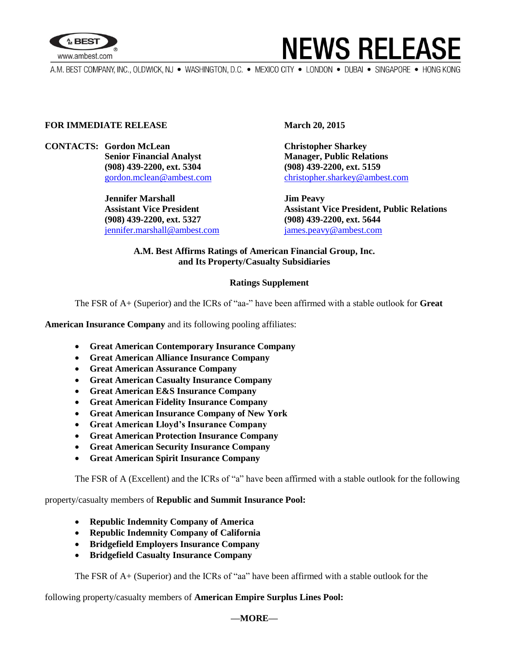



A.M. BEST COMPANY, INC., OLDWICK, NJ · WASHINGTON, D.C. · MEXICO CITY · LONDON · DUBAI · SINGAPORE · HONG KONG

### **FOR IMMEDIATE RELEASE March 20, 2015**

**CONTACTS: Gordon McLean Christopher Sharkey Senior Financial Analyst Manager, Public Relations (908) 439-2200, ext. 5304 (908) 439-2200, ext. 5159**

> **Jennifer Marshall Jim Peavy (908) 439-2200, ext. 5327 (908) 439-2200, ext. 5644** [jennifer.marshall@ambest.com](mailto:jennifer.marshall@ambest.com) [james.peavy@ambest.com](mailto:james.peavy@ambest.com)

[gordon.mclean@ambest.com](mailto:gordon.mclean@ambest.com) [christopher.sharkey@ambest.com](mailto:christopher.sharkey@ambest.com)

**Assistant Vice President Assistant Vice President, Public Relations**

### **A.M. Best Affirms Ratings of American Financial Group, Inc. and Its Property/Casualty Subsidiaries**

### **Ratings Supplement**

The FSR of A+ (Superior) and the ICRs of "aa-" have been affirmed with a stable outlook for **Great** 

**American Insurance Company** and its following pooling affiliates:

- **Great American Contemporary Insurance Company**
- **Great American Alliance Insurance Company**
- **Great American Assurance Company**
- **Great American Casualty Insurance Company**
- **Great American E&S Insurance Company**
- **Great American Fidelity Insurance Company**
- **Great American Insurance Company of New York**
- **Great American Lloyd's Insurance Company**
- **Great American Protection Insurance Company**
- **Great American Security Insurance Company**
- **Great American Spirit Insurance Company**

The FSR of A (Excellent) and the ICRs of "a" have been affirmed with a stable outlook for the following

property/casualty members of **Republic and Summit Insurance Pool:**

- **Republic Indemnity Company of America**
- **Republic Indemnity Company of California**
- **Bridgefield Employers Insurance Company**
- **Bridgefield Casualty Insurance Company**

The FSR of A+ (Superior) and the ICRs of "aa" have been affirmed with a stable outlook for the

following property/casualty members of **American Empire Surplus Lines Pool:**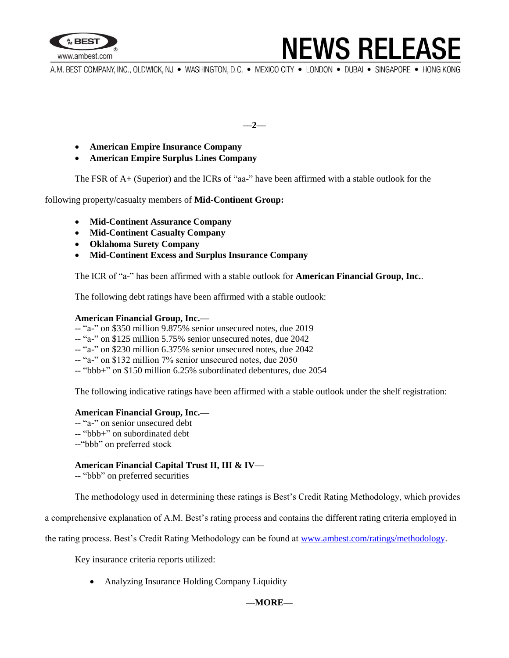

## **NEWS RELEASE**

A.M. BEST COMPANY, INC., OLDWICK, NJ · WASHINGTON, D.C. · MEXICO CITY · LONDON · DUBAI · SINGAPORE · HONG KONG

**––2––**

- **American Empire Insurance Company**
- **American Empire Surplus Lines Company**

The FSR of A+ (Superior) and the ICRs of "aa-" have been affirmed with a stable outlook for the

following property/casualty members of **Mid-Continent Group:**

- **Mid-Continent Assurance Company**
- **Mid-Continent Casualty Company**
- **Oklahoma Surety Company**
- **Mid-Continent Excess and Surplus Insurance Company**

The ICR of "a-" has been affirmed with a stable outlook for **American Financial Group, Inc.**.

The following debt ratings have been affirmed with a stable outlook:

#### **American Financial Group, Inc.—**

- -- "a-" on \$350 million 9.875% senior unsecured notes, due 2019
- -- "a-" on \$125 million 5.75% senior unsecured notes, due 2042
- -- "a-" on \$230 million 6.375% senior unsecured notes, due 2042
- -- "a-" on \$132 million 7% senior unsecured notes, due 2050
- -- "bbb+" on \$150 million 6.25% subordinated debentures, due 2054

The following indicative ratings have been affirmed with a stable outlook under the shelf registration:

#### **American Financial Group, Inc.—**

-- "a-" on senior unsecured debt -- "bbb+" on subordinated debt

--"bbb" on preferred stock

### **American Financial Capital Trust II, III & IV—**

-- "bbb" on preferred securities

The methodology used in determining these ratings is Best's Credit Rating Methodology, which provides

a comprehensive explanation of A.M. Best's rating process and contains the different rating criteria employed in

the rating process. Best's Credit Rating Methodology can be found at [www.ambest.com/ratings/methodology.](http://www.ambest.com/ratings/methodology)

Key insurance criteria reports utilized:

• Analyzing Insurance Holding Company Liquidity

### **––MORE––**